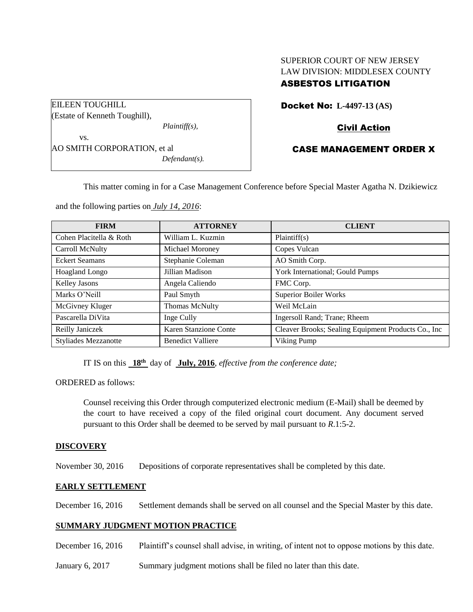| <b>ASBESTOS LITIGATION</b>     |  |
|--------------------------------|--|
| LAW DIVISION: MIDDLESEX COUNTY |  |
| SUPERIOR COURT OF NEW JERSEY   |  |

| EILEEN TOUGHILL               |  |
|-------------------------------|--|
| (Estate of Kenneth Toughill), |  |
| $Plaintiff(s)$ ,              |  |
| VS.                           |  |
| AO SMITH CORPORATION, et al   |  |
| $Defendant(s)$ .              |  |
|                               |  |

Docket No: **L-4497-13 (AS)** 

# Civil Action

# CASE MANAGEMENT ORDER X

This matter coming in for a Case Management Conference before Special Master Agatha N. Dzikiewicz

and the following parties on *July 14, 2016*:

| <b>FIRM</b>                 | <b>ATTORNEY</b>          | <b>CLIENT</b>                                       |
|-----------------------------|--------------------------|-----------------------------------------------------|
| Cohen Placitella & Roth     | William L. Kuzmin        | Plaintiff(s)                                        |
| Carroll McNulty             | Michael Moroney          | Copes Vulcan                                        |
| <b>Eckert Seamans</b>       | Stephanie Coleman        | AO Smith Corp.                                      |
| <b>Hoagland Longo</b>       | Jillian Madison          | York International; Gould Pumps                     |
| <b>Kelley Jasons</b>        | Angela Caliendo          | FMC Corp.                                           |
| Marks O'Neill               | Paul Smyth               | <b>Superior Boiler Works</b>                        |
| McGivney Kluger             | <b>Thomas McNulty</b>    | Weil McLain                                         |
| Pascarella DiVita           | Inge Cully               | Ingersoll Rand; Trane; Rheem                        |
| Reilly Janiczek             | Karen Stanzione Conte    | Cleaver Brooks; Sealing Equipment Products Co., Inc |
| <b>Styliades Mezzanotte</b> | <b>Benedict Valliere</b> | Viking Pump                                         |

IT IS on this **18th** day of **July, 2016**, *effective from the conference date;*

ORDERED as follows:

Counsel receiving this Order through computerized electronic medium (E-Mail) shall be deemed by the court to have received a copy of the filed original court document. Any document served pursuant to this Order shall be deemed to be served by mail pursuant to *R*.1:5-2.

## **DISCOVERY**

November 30, 2016 Depositions of corporate representatives shall be completed by this date.

## **EARLY SETTLEMENT**

December 16, 2016 Settlement demands shall be served on all counsel and the Special Master by this date.

## **SUMMARY JUDGMENT MOTION PRACTICE**

December 16, 2016 Plaintiff's counsel shall advise, in writing, of intent not to oppose motions by this date.

January 6, 2017 Summary judgment motions shall be filed no later than this date.